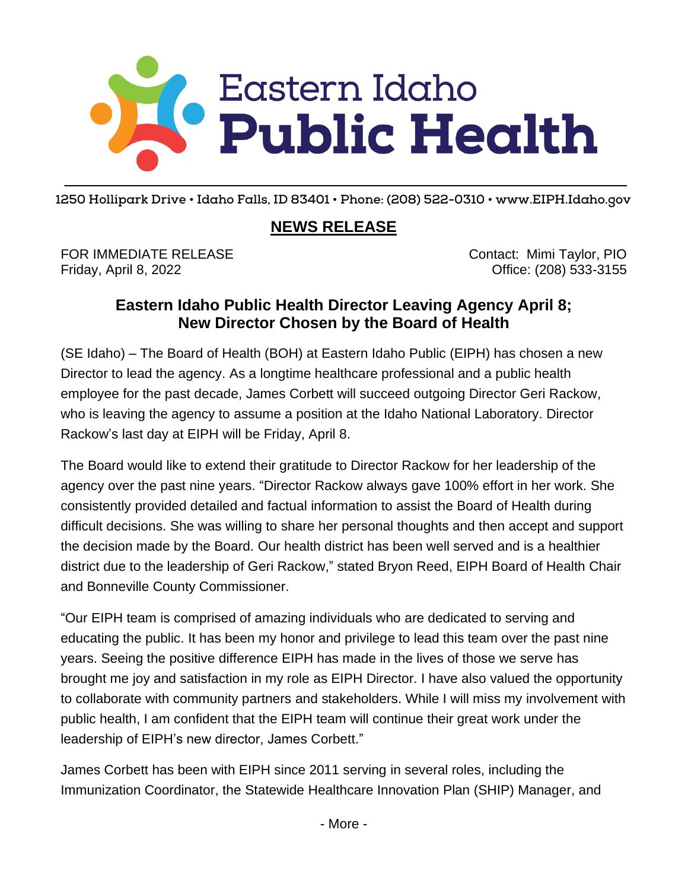## C Eastern Idaho<br>C Public Health  $\_$  ,  $\_$  ,  $\_$  ,  $\_$  ,  $\_$  ,  $\_$  ,  $\_$  ,  $\_$  ,  $\_$  ,  $\_$  ,  $\_$  ,  $\_$  ,  $\_$  ,  $\_$  ,  $\_$  ,  $\_$  ,  $\_$  ,  $\_$  ,  $\_$  ,  $\_$  ,  $\_$  ,  $\_$  ,  $\_$  ,  $\_$  ,  $\_$  ,  $\_$  ,  $\_$  ,  $\_$  ,  $\_$  ,  $\_$  ,  $\_$  ,  $\_$  ,  $\_$  ,  $\_$  ,  $\_$  ,  $\_$  ,  $\_$  ,

**1250 Hollipark Drive • Idaho Falls, ID 83401 • Phone: (208) 522-0310 • www.EIPH.Idaho.gov**

## **NEWS RELEASE**

FOR IMMEDIATE RELEASE Contact: Mimi Taylor, PIO Friday, April 8, 2022 Office: (208) 533-3155

## **Eastern Idaho Public Health Director Leaving Agency April 8; New Director Chosen by the Board of Health**

(SE Idaho) – The Board of Health (BOH) at Eastern Idaho Public (EIPH) has chosen a new Director to lead the agency. As a longtime healthcare professional and a public health employee for the past decade, James Corbett will succeed outgoing Director Geri Rackow, who is leaving the agency to assume a position at the Idaho National Laboratory. Director Rackow's last day at EIPH will be Friday, April 8.

The Board would like to extend their gratitude to Director Rackow for her leadership of the agency over the past nine years. "Director Rackow always gave 100% effort in her work. She consistently provided detailed and factual information to assist the Board of Health during difficult decisions. She was willing to share her personal thoughts and then accept and support the decision made by the Board. Our health district has been well served and is a healthier district due to the leadership of Geri Rackow," stated Bryon Reed, EIPH Board of Health Chair and Bonneville County Commissioner.

"Our EIPH team is comprised of amazing individuals who are dedicated to serving and educating the public. It has been my honor and privilege to lead this team over the past nine years. Seeing the positive difference EIPH has made in the lives of those we serve has brought me joy and satisfaction in my role as EIPH Director. I have also valued the opportunity to collaborate with community partners and stakeholders. While I will miss my involvement with public health, I am confident that the EIPH team will continue their great work under the leadership of EIPH's new director, James Corbett."

James Corbett has been with EIPH since 2011 serving in several roles, including the Immunization Coordinator, the Statewide Healthcare Innovation Plan (SHIP) Manager, and